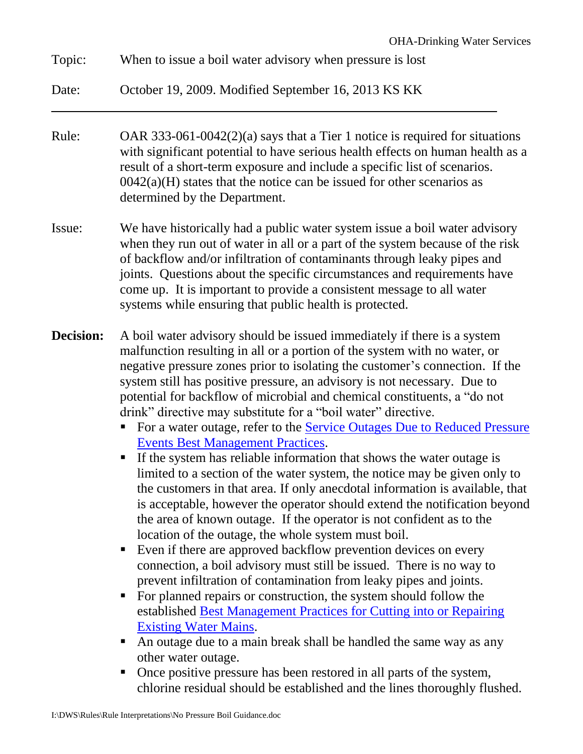| October 19, 2009. Modified September 16, 2013 KS KK                                                                                                                                                                                                                                                                                                                                                                                                                                                                                                                                                                                                                                                                                                                                                                                                                                                                                                                                                                                                                                                                                                                                                                                                                                                                                                                                                                                                                                                                                                                                                                                                                                                               |
|-------------------------------------------------------------------------------------------------------------------------------------------------------------------------------------------------------------------------------------------------------------------------------------------------------------------------------------------------------------------------------------------------------------------------------------------------------------------------------------------------------------------------------------------------------------------------------------------------------------------------------------------------------------------------------------------------------------------------------------------------------------------------------------------------------------------------------------------------------------------------------------------------------------------------------------------------------------------------------------------------------------------------------------------------------------------------------------------------------------------------------------------------------------------------------------------------------------------------------------------------------------------------------------------------------------------------------------------------------------------------------------------------------------------------------------------------------------------------------------------------------------------------------------------------------------------------------------------------------------------------------------------------------------------------------------------------------------------|
| OAR 333-061-0042(2)(a) says that a Tier 1 notice is required for situations<br>with significant potential to have serious health effects on human health as a<br>result of a short-term exposure and include a specific list of scenarios.<br>$0042(a)(H)$ states that the notice can be issued for other scenarios as<br>determined by the Department.                                                                                                                                                                                                                                                                                                                                                                                                                                                                                                                                                                                                                                                                                                                                                                                                                                                                                                                                                                                                                                                                                                                                                                                                                                                                                                                                                           |
| We have historically had a public water system issue a boil water advisory<br>when they run out of water in all or a part of the system because of the risk<br>of backflow and/or infiltration of contaminants through leaky pipes and<br>joints. Questions about the specific circumstances and requirements have<br>come up. It is important to provide a consistent message to all water<br>systems while ensuring that public health is protected.                                                                                                                                                                                                                                                                                                                                                                                                                                                                                                                                                                                                                                                                                                                                                                                                                                                                                                                                                                                                                                                                                                                                                                                                                                                            |
| A boil water advisory should be issued immediately if there is a system<br>malfunction resulting in all or a portion of the system with no water, or<br>negative pressure zones prior to isolating the customer's connection. If the<br>system still has positive pressure, an advisory is not necessary. Due to<br>potential for backflow of microbial and chemical constituents, a "do not<br>drink" directive may substitute for a "boil water" directive.<br>For a water outage, refer to the Service Outages Due to Reduced Pressure<br><b>Events Best Management Practices.</b><br>If the system has reliable information that shows the water outage is<br>limited to a section of the water system, the notice may be given only to<br>the customers in that area. If only anecdotal information is available, that<br>is acceptable, however the operator should extend the notification beyond<br>the area of known outage. If the operator is not confident as to the<br>location of the outage, the whole system must boil.<br>Even if there are approved backflow prevention devices on every<br>٠<br>connection, a boil advisory must still be issued. There is no way to<br>prevent infiltration of contamination from leaky pipes and joints.<br>For planned repairs or construction, the system should follow the<br>п<br>established <b>Best Management Practices for Cutting into or Repairing</b><br><b>Existing Water Mains.</b><br>An outage due to a main break shall be handled the same way as any<br>П<br>other water outage.<br>Once positive pressure has been restored in all parts of the system,<br>п<br>chlorine residual should be established and the lines thoroughly flushed. |
|                                                                                                                                                                                                                                                                                                                                                                                                                                                                                                                                                                                                                                                                                                                                                                                                                                                                                                                                                                                                                                                                                                                                                                                                                                                                                                                                                                                                                                                                                                                                                                                                                                                                                                                   |